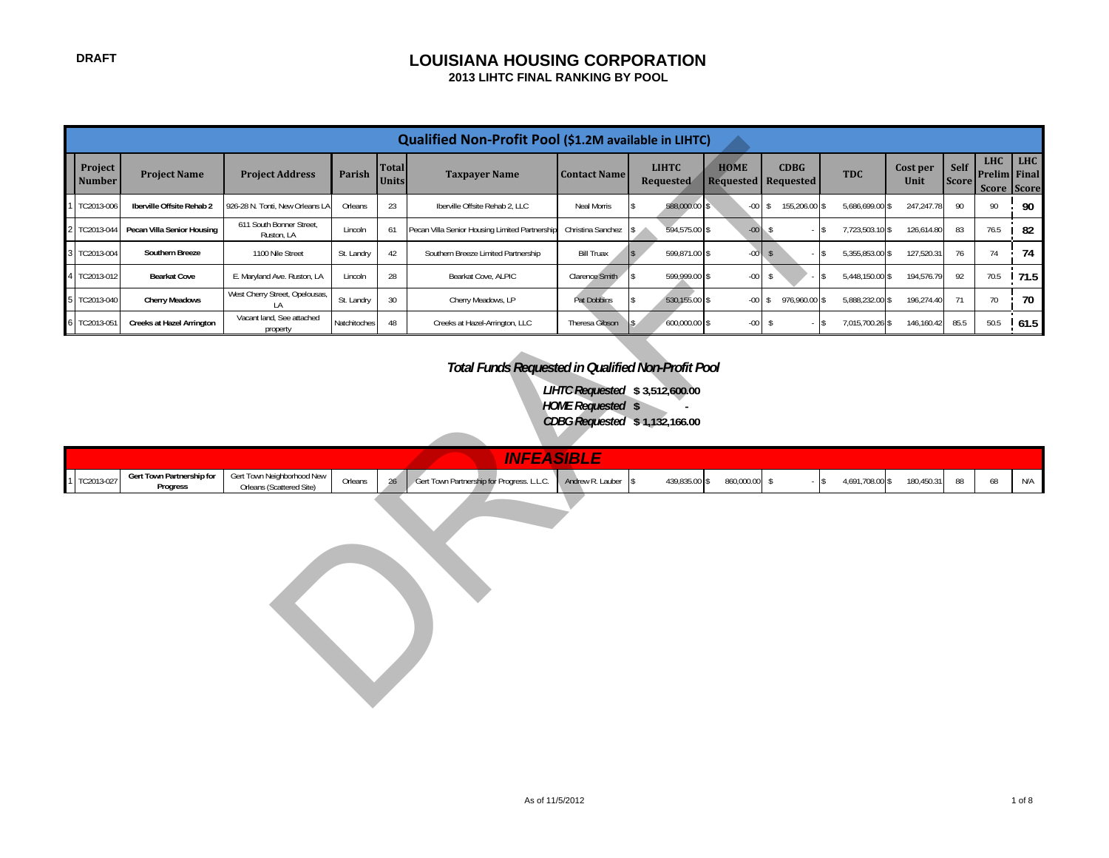# **DRAFT LOUISIANA HOUSING CORPORATION**

 **2013 LIHTC FINAL RANKING BY POOL**

|                                                                                                                  |                                       |                                                        |               |                              | Qualified Non-Profit Pool (\$1.2M available in LIHTC) |                     |                           |                  |                                           |                                 |                  |                      |                                           |             |
|------------------------------------------------------------------------------------------------------------------|---------------------------------------|--------------------------------------------------------|---------------|------------------------------|-------------------------------------------------------|---------------------|---------------------------|------------------|-------------------------------------------|---------------------------------|------------------|----------------------|-------------------------------------------|-------------|
| Project<br><b>Number</b>                                                                                         | <b>Project Name</b>                   | <b>Project Address</b>                                 | <b>Parish</b> | <b>Total</b><br><b>Units</b> | <b>Taxpayer Name</b>                                  | <b>Contact Name</b> | <b>LIHTC</b><br>Requested | <b>HOME</b>      | <b>CDBG</b><br><b>Requested Requested</b> | <b>TDC</b>                      | Cost per<br>Unit | Self<br><b>Score</b> | <b>LHC</b><br>Prelim Final<br>Score Score | LHC         |
| TC2013-006                                                                                                       | Iberville Offsite Rehab 2             | 926-28 N. Tonti, New Orleans LA                        | Orleans       | 23                           | Iberville Offsite Rehab 2, LLC                        | Neal Morris         | 588,000.00                |                  | $-00$ \$ 155,206.00 \$                    | 5,686,699.00 \$                 | 247,247.78       | 90                   | 90                                        | 90          |
| TC2013-044                                                                                                       | Pecan Villa Senior Housing            | 611 South Bonner Street,<br>Ruston, LA                 | Lincoln       | 61                           | Pecan Villa Senior Housing Limited Partnership        | Christina Sanchez   | 594,575.00 \$             | $-00$ \$         |                                           | 7,723,503.10 \$<br>\$.          | 126,614.80       | 83                   | 76.5                                      | 82          |
| TC2013-004                                                                                                       | Southern Breeze                       | 1100 Nile Street                                       | St. Landry    | 42                           | Southern Breeze Limited Partnership                   | <b>Bill Truax</b>   | 599,871.00 \$             | $-00$ $\sqrt{s}$ |                                           | 5,355,853.00 \$                 | 127,520.31       | 76                   | 74                                        | 74          |
| TC2013-012                                                                                                       | <b>Bearkat Cove</b>                   | E. Maryland Ave. Ruston, LA                            | Lincoln       | 28                           | Bearkat Cove, ALPIC                                   | Clarence Smith      | 599,999.00 \$             | $-00$            | $\mathsf{s}$                              | 5,448,150.00 \$                 | 194,576.79       | 92                   |                                           | 70.5   71.5 |
| TC2013-040                                                                                                       | <b>Cherry Meadows</b>                 | West Cherry Street, Opelousas,<br>1A                   | St. Landry    | 30 <sup>°</sup>              | Cherry Meadows, LP                                    | Pat Dobbins         | 530,155.00 \$             |                  | $-00$ \$ 976,960.00 \$                    | 5,888,232.00 \$                 | 196,274.40       | 71                   | 70                                        | 70          |
| TC2013-051                                                                                                       | <b>Creeks at Hazel Arrington</b>      | Vacant land, See attached<br>property                  | Natchitoches  | 48                           | Creeks at Hazel-Arrington, LLC                        | Theresa Gibson      | 600,000.00 \$             |                  | $-00$ \$                                  | 7,015,700.26 \$<br>$\mathbb{S}$ | 146,160.42       | 85.5                 |                                           | $50.5$ 61.5 |
| LIHTC Requested \$3,512,600.00<br><b>HOME Requested \$</b><br>CDBG Requested \$1,132,166.00<br><b>INFEASIBLE</b> |                                       |                                                        |               |                              |                                                       |                     |                           |                  |                                           |                                 |                  |                      |                                           |             |
|                                                                                                                  |                                       |                                                        |               |                              |                                                       |                     |                           |                  |                                           |                                 |                  |                      |                                           |             |
| TC2013-027                                                                                                       | Gert Town Partnership for<br>Progress | Gert Town Neighborhood New<br>Orleans (Scattered Site) | Orleans       | 26                           | Gert Town Partnership for Progress. L.L.C.            | Andrew R. Lauber    | 439,835.00 \$             | 860,000.00 \$    |                                           | 4,691,708.00 \$                 | 180,450.31       | 88                   | 68                                        | N/A         |
| $-$ \$                                                                                                           |                                       |                                                        |               |                              |                                                       |                     |                           |                  |                                           |                                 |                  |                      |                                           |             |

# *Total Funds Requested in Qualified Non-Profit Pool*

|                |                                       |                                                        |         | INICE<br>,,,,,                                   | ___                |               |            |                 |            |  |                       |
|----------------|---------------------------------------|--------------------------------------------------------|---------|--------------------------------------------------|--------------------|---------------|------------|-----------------|------------|--|-----------------------|
| 1   TC2013-027 | Gert Town Partnership for<br>Progress | Gert Town Neighborhood New<br>Orleans (Scattered Site) | Orleans | rt Town Partnership for Progress. L.L.C.<br>Gert | Andrew R. Lauber S | 439,835.00 \$ | 860,000.00 | 1,691,708.00 \$ | 180,450.31 |  | N <sub>1</sub><br>N/T |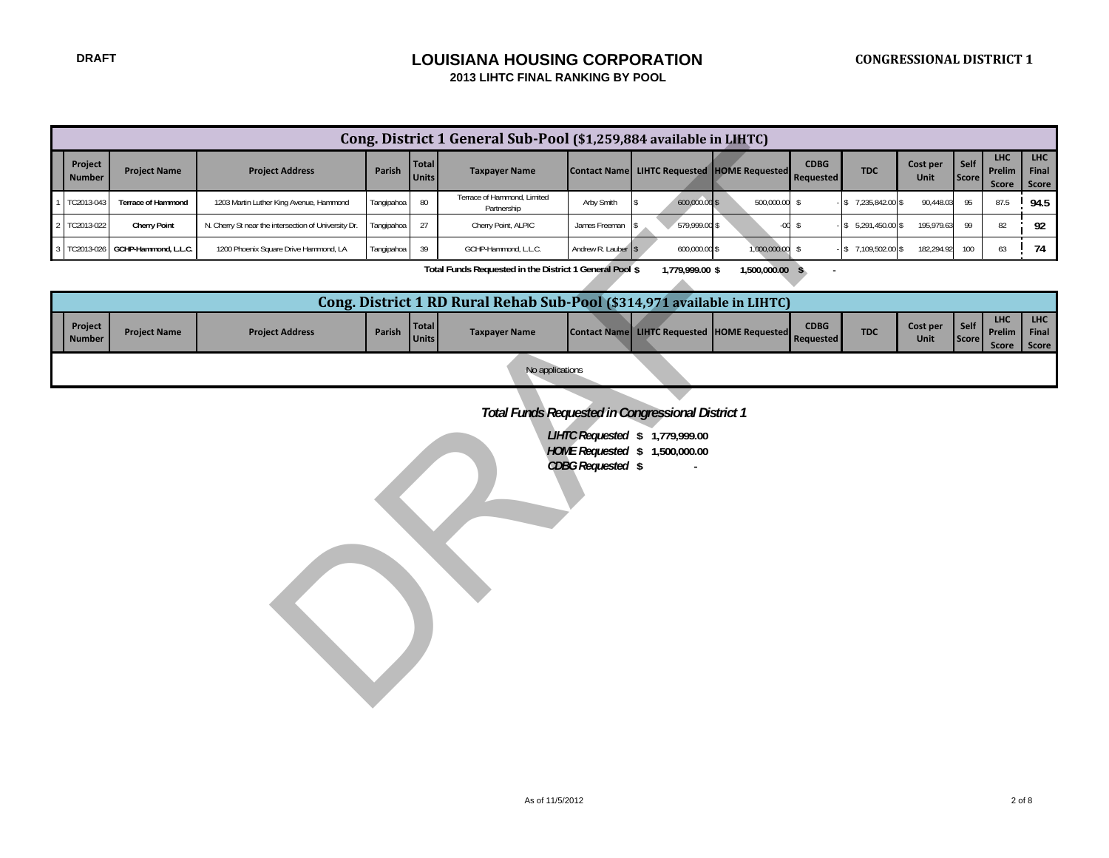#### **DRAFT LOUISIANA HOUSING CORPORATION 2013 LIHTC FINAL RANKING BY POOL**

|                          |                           |                                                      |            |                              | Cong. District 1 General Sub-Pool (\$1,259,884 available in LIHTC)      |                     |                                                                   |                 |                          |                    |                  |                      |                               |                       |
|--------------------------|---------------------------|------------------------------------------------------|------------|------------------------------|-------------------------------------------------------------------------|---------------------|-------------------------------------------------------------------|-----------------|--------------------------|--------------------|------------------|----------------------|-------------------------------|-----------------------|
| Project<br><b>Number</b> | <b>Project Name</b>       | <b>Project Address</b>                               | Parish     | <b>Total</b><br><b>Units</b> | <b>Taxpayer Name</b>                                                    |                     | Contact Name LIHTC Requested HOME Requested                       |                 | <b>CDBG</b><br>Requested | <b>TDC</b>         | Cost per<br>Unit | Self<br><b>Score</b> | <b>LHC</b><br>Prelim<br>Score | LHC<br>Final<br>Score |
| TC2013-043               | <b>Terrace of Hammond</b> | 1203 Martin Luther King Avenue, Hammond              | Tangipahoa | 80                           | Terrace of Hammond, Limited<br>Partnership                              | Arby Smith          | 600,000.00 \$                                                     | 500,000.00 \$   |                          | $$7,235,842.00$ \$ | 90,448.03        | 95                   | 87.5                          | 94.5                  |
| TC2013-022               | <b>Cherry Point</b>       | N. Cherry St near the intersection of University Dr. | Tangipahoa | 27                           | Cherry Point, ALPIC                                                     | James Freeman       | 579,999.00 \$                                                     |                 | $-00$ \$                 | $$5,291,450.00$ \$ | 195,979.63       | 99                   | 82                            | 92                    |
| TC2013-026               | GCHP-Hammond, L.L.C.      | 1200 Phoenix Square Drive Hammond, LA                | Tangipahoa | 39                           | GCHP-Hammond, L.L.C.                                                    | Andrew R. Lauber \$ | 600,000.00 \$                                                     | 1,000,000.00    | $\mathbb{S}$             | $$7,109,502.00$ \$ | 182,294.92       | 100                  | 63                            | 74                    |
|                          |                           |                                                      |            |                              | Total Funds Requested in the District 1 General Pool \$                 |                     | 1,779,999.00 \$                                                   | 1,500,000.00 \$ |                          |                    |                  |                      |                               |                       |
|                          |                           |                                                      |            |                              | Cong. District 1 RD Rural Rehab Sub-Pool (\$314,971 available in LIHTC) |                     |                                                                   |                 |                          |                    |                  |                      |                               |                       |
| Project<br><b>Number</b> | <b>Project Name</b>       | <b>Project Address</b>                               | Parish     | <b>Total</b><br><b>Units</b> | <b>Taxpayer Name</b>                                                    |                     | Contact Name LIHTC Requested HOME Requested                       |                 | <b>CDBG</b><br>Requested | <b>TDC</b>         | Cost per<br>Unit | Self<br><b>Score</b> | <b>LHC</b><br>Prelim<br>Score | LHC<br>Final<br>Score |
|                          |                           |                                                      |            |                              | No applications                                                         |                     |                                                                   |                 |                          |                    |                  |                      |                               |                       |
|                          |                           |                                                      |            |                              | Total Funds Requested in Congressional District 1                       | CDBG Requested \$   | LIHTC Requested \$ 1,779,999.00<br>HOME Requested \$ 1,500,000.00 |                 |                          |                    |                  |                      |                               |                       |

|                          |                     |                        |        |                              | Cong. District 1 RD Rural Rehab Sub-Pool (\$314,971 available in LIHTC) |                                                    |                                 |            |                  |                            |                                       |                     |
|--------------------------|---------------------|------------------------|--------|------------------------------|-------------------------------------------------------------------------|----------------------------------------------------|---------------------------------|------------|------------------|----------------------------|---------------------------------------|---------------------|
| Project<br><b>Number</b> | <b>Project Name</b> | <b>Project Address</b> | Parish | <b>Total</b><br><b>Units</b> | <b>Taxpayer Name</b>                                                    | <b>Contact Name LIHTC Requested HOME Requested</b> | <b>CDBG</b><br><b>Requested</b> | <b>TDC</b> | Cost per<br>Unit | Self <sub>b</sub><br>Score | <b>LHC</b><br>Prelim   Final<br>Score | <b>LHC</b><br>Score |
|                          |                     |                        |        |                              | No applications                                                         |                                                    |                                 |            |                  |                            |                                       |                     |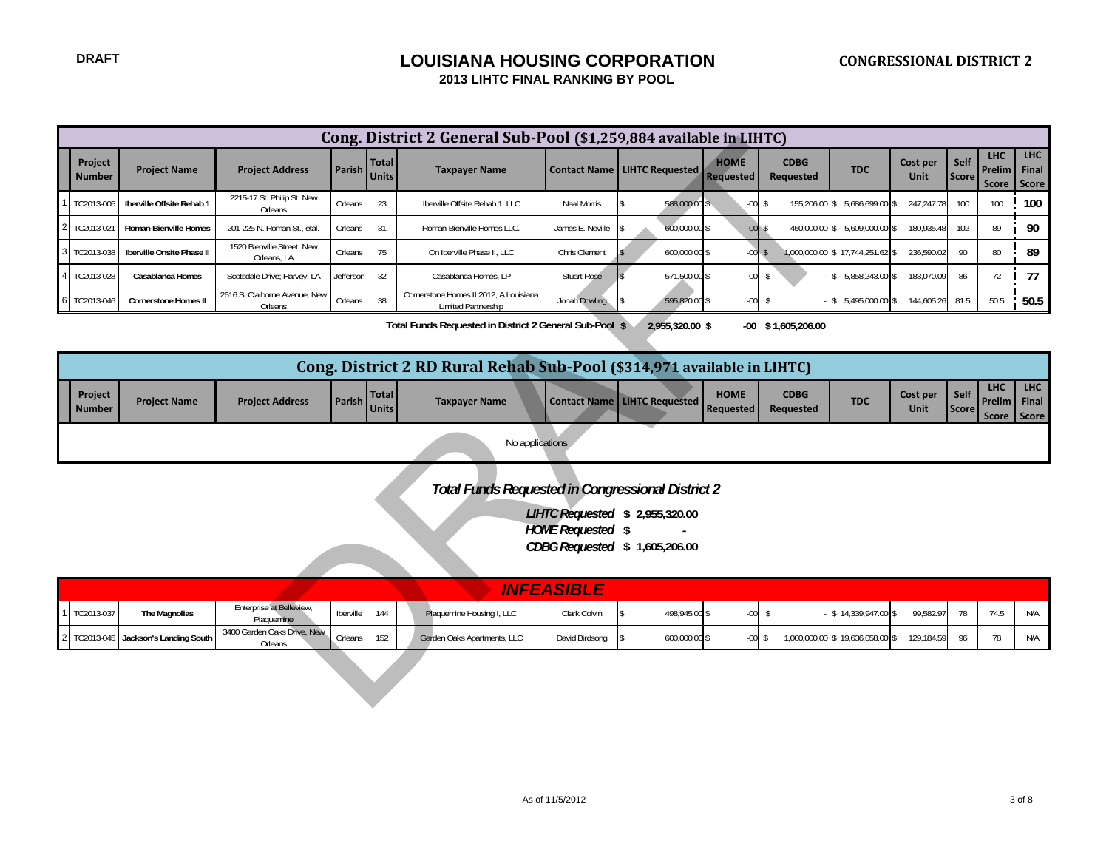|                          |                             |                                           |               |                              | Cong. District 2 General Sub-Pool (\$1,259,884 available in LIHTC)      |                          |                                                                  |                                 |                                 |                                 |                  |                      |                                      |                              |
|--------------------------|-----------------------------|-------------------------------------------|---------------|------------------------------|-------------------------------------------------------------------------|--------------------------|------------------------------------------------------------------|---------------------------------|---------------------------------|---------------------------------|------------------|----------------------|--------------------------------------|------------------------------|
| Project<br><b>Number</b> | <b>Project Name</b>         | <b>Project Address</b>                    | <b>Parish</b> | <b>Total</b><br><b>Units</b> | <b>Taxpayer Name</b>                                                    |                          | Contact Name   LIHTC Requested                                   | <b>HOME</b><br><b>Requested</b> | <b>CDBG</b><br>Requested        | <b>TDC</b>                      | Cost per<br>Unit | Self<br><b>Score</b> | <b>LHC</b><br>Prelim<br>Score        | <b>LHC</b><br>Final<br>Score |
| TC2013-005               | Iberville Offsite Rehab 1   | 2215-17 St. Philip St. New<br>Orleans     | Orleans       | 23                           | Iberville Offsite Rehab 1, LLC                                          | Neal Morris              | 588,000.00 \$                                                    | $-00$ \$                        | 155,206.00                      | 5,686,699.00 \$<br>S            | 247,247.78       | 100                  | 100                                  | 100                          |
| TC2013-021               | Roman-Bienville Homes       | 201-225 N. Roman St., etal                | Orleans       | 31                           | Roman-Bienville Homes, LLC.                                             | James E. Neville         | 600,000.00 \$                                                    | $-00$                           |                                 | 450,000.00 \$ 5,609,000.00 \$   | 180,935.48       | 102                  | 89                                   | 90                           |
| TC2013-038               | Iberville Onsite Phase II   | 1520 Bienville Street, New<br>Orleans, LA | Orleans       | 75                           | On Iberville Phase II. LLC                                              | Chris Clement            | 600,000.00 \$                                                    | $-00S$                          |                                 | 1,000,000.00 \$17,744,251.62 \$ | 236,590.02       | 90                   | 80                                   | 89                           |
| TC2013-028               | Casablanca Homes            | Scotsdale Drive; Harvey, LA               | Jefferson     | 32                           | Casablanca Homes, LP                                                    | <b>Stuart Rose</b>       | 571,500.00 \$                                                    | $-00 -$                         | $\mathsf{s}$                    | 5,858,243.00 \$                 | 183,070.09       | 86                   | 72                                   | 77                           |
| TC2013-046               | <b>Cornerstone Homes II</b> | 2616 S. Claiborne Avenue, New<br>Orleans  | Orleans       | 38                           | Cornerstone Homes II 2012. A Louisiana<br>Limited Partnership           | Jonah Dowling            | 595,820.00 \$                                                    | $-00$                           | s.                              | $$5,495,000.00$ \$              | 144,605.26       | 81.5                 | 50.5                                 | 50.5                         |
|                          |                             |                                           |               |                              | Total Funds Requested in District 2 General Sub-Pool \$                 |                          | 2,955,320.00 \$                                                  |                                 | $-00$ \$1,605,206.00            |                                 |                  |                      |                                      |                              |
|                          |                             |                                           |               |                              | Cong. District 2 RD Rural Rehab Sub-Pool (\$314,971 available in LIHTC) |                          |                                                                  |                                 |                                 |                                 |                  |                      |                                      |                              |
| Project<br><b>Number</b> | <b>Project Name</b>         | <b>Project Address</b>                    | <b>Parish</b> | <b>Total</b><br><b>Units</b> | <b>Taxpayer Name</b>                                                    | <b>Contact Name</b>      | <b>LIHTC Requested</b>                                           | <b>HOME</b><br><b>Requested</b> | <b>CDBG</b><br><b>Requested</b> | <b>TDC</b>                      | Cost per<br>Unit | Self<br><b>Score</b> | <b>LHC</b><br>Prelim<br><b>Score</b> | LHC<br>Final<br>Score        |
|                          |                             |                                           |               |                              | No applications                                                         |                          |                                                                  |                                 |                                 |                                 |                  |                      |                                      |                              |
|                          |                             |                                           |               |                              | <b>Total Funds Requested in Congressional District 2</b>                |                          |                                                                  |                                 |                                 |                                 |                  |                      |                                      |                              |
|                          |                             |                                           |               |                              |                                                                         | <b>HOME</b> Requested \$ | LIHTC Requested \$ 2,955,320.00<br>CDBG Requested \$1,605,206.00 |                                 |                                 |                                 |                  |                      |                                      |                              |
|                          |                             |                                           |               |                              |                                                                         | <b>INFEASIBLE</b>        |                                                                  |                                 |                                 |                                 |                  |                      |                                      |                              |
| TC2013-037               | The Magnolias               | Enterprise at Belleview,<br>Plaquemine    | Iberville     | 144                          | Plaquemine Housing I, LLC                                               | Clark Colvin             | 498,945.00 \$                                                    | $-00$                           | \$                              | $$14,339,947.00$ \\$            | 99,582.97        | 78                   | 74.5                                 | N/A                          |
| TC2013-045               | Jackson's Landing South     | 3400 Garden Oaks Drive, New<br>Orleans    | Orleans       | 152                          | Garden Oaks Apartments, LLC                                             | David Birdsong           | 600,000.00 \$                                                    | $-00$ \$                        |                                 | 1,000,000.00 \$19,636,058.00 \$ | 129,184.59       | 96                   | 78                                   | N/A                          |
|                          |                             |                                           |               |                              |                                                                         |                          |                                                                  |                                 |                                 |                                 |                  |                      |                                      |                              |

|                   |                     |                        |                     |              | Cong. District 2 RD Rural Rehab Sub-Pool (\$314,971 available in LIHTC) |                                     |                                 |                          |            |                  |                 |                                                    |     |
|-------------------|---------------------|------------------------|---------------------|--------------|-------------------------------------------------------------------------|-------------------------------------|---------------------------------|--------------------------|------------|------------------|-----------------|----------------------------------------------------|-----|
| Project<br>Number | <b>Project Name</b> | <b>Project Address</b> | <b>Parish Units</b> | <b>Total</b> | <b>Taxpayer Name</b>                                                    | <b>Contact Name LIHTC Requested</b> | <b>HOME</b><br><b>Requested</b> | <b>CDBG</b><br>Requested | <b>TDC</b> | Cost per<br>Unit | Self  <br>Score | <b>LHC</b><br><b>Prelim Final</b><br>Score   Score | LHC |
|                   |                     |                        |                     |              | No applications                                                         |                                     |                                 |                          |            |                  |                 |                                                    |     |

|              | <b>VNFEASIBLE</b>                    |                                        |           |     |                             |                |               |         |  |                                 |            |    |    |     |
|--------------|--------------------------------------|----------------------------------------|-----------|-----|-----------------------------|----------------|---------------|---------|--|---------------------------------|------------|----|----|-----|
| 1 TC2013-037 | The Magnolias                        | Enterprise at Belleview,<br>Plaguemine | Iberville | 144 | Plaquemine Housing I, LLC   | Clark Colvin   | 498,945.00 \$ | -00     |  | $-$ \$ 14,339,947.00 \$         | 99.582.97  | 78 | 71 | N/A |
|              | 2 TC2013-045 Jackson's Landing South | 3400 Garden Oaks Drive, New<br>Orleans | Orleans   |     | Garden Oaks Apartments, LLC | David Birdsong | 600,000.00 \$ | $-00$ : |  | 1,000,000.00 \$19,636,058.00 \$ | 129.184.59 |    |    | N/A |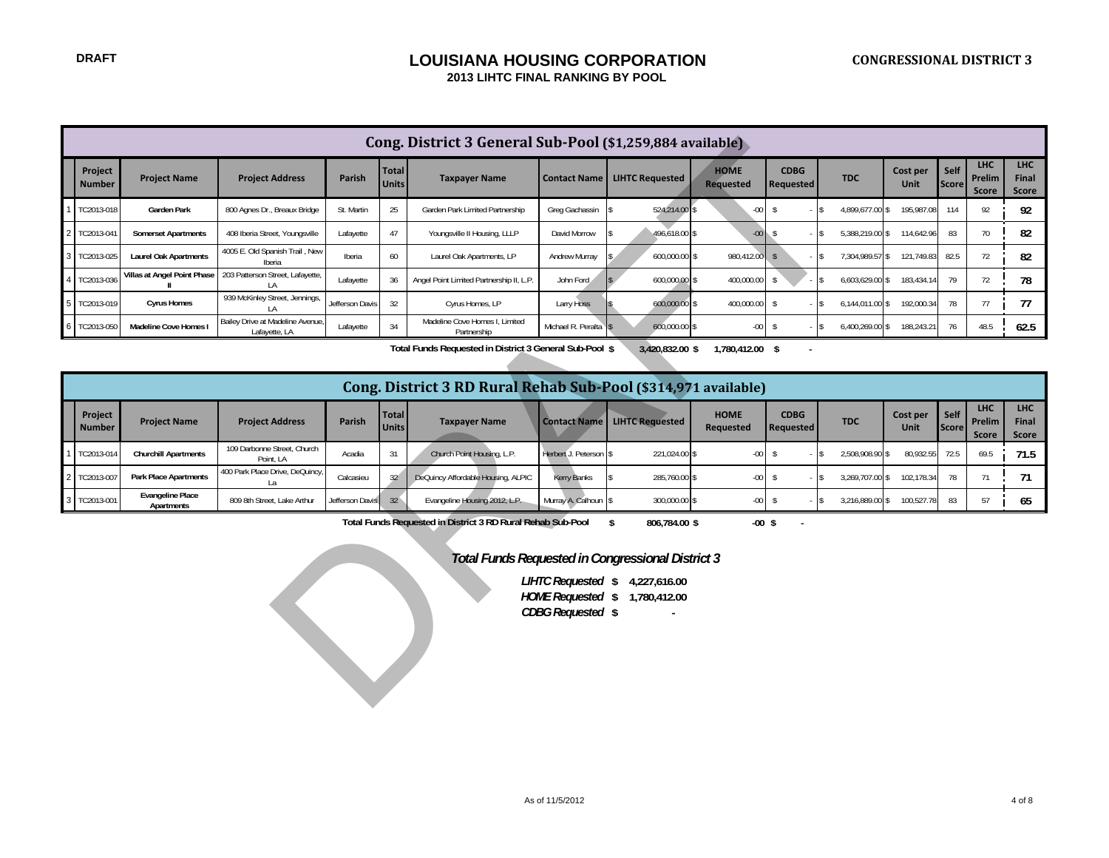## **DRAFT DRAFT DRAFT DRAFT DESCRIPTION 2013 LIHTC FINAL RANKING BY POOL**

|                          |                                                                                                                                                                                                                                                        |                                                  |                 |                       | Cong. District 3 General Sub-Pool (\$1,259,884 available)      |                       |                                       |                                 |                          |                           |                         |               |                                      |                              |
|--------------------------|--------------------------------------------------------------------------------------------------------------------------------------------------------------------------------------------------------------------------------------------------------|--------------------------------------------------|-----------------|-----------------------|----------------------------------------------------------------|-----------------------|---------------------------------------|---------------------------------|--------------------------|---------------------------|-------------------------|---------------|--------------------------------------|------------------------------|
| Project<br><b>Number</b> | <b>Project Name</b>                                                                                                                                                                                                                                    | <b>Project Address</b>                           | Parish          | Total<br><b>Units</b> | <b>Taxpayer Name</b>                                           |                       | <b>Contact Name   LIHTC Requested</b> | <b>HOME</b><br><b>Requested</b> | <b>CDBG</b><br>Requested | <b>TDC</b>                | Cost per<br>Unit        | Self<br>Score | <b>LHC</b><br>Prelim<br>Score        | <b>LHC</b><br>Final<br>Score |
| TC2013-018               | Garden Park                                                                                                                                                                                                                                            | 800 Agnes Dr., Breaux Bridge                     | St. Martin      | 25                    | Garden Park Limited Partnership                                | Greg Gachassin        | 524,214.00                            | $-00$                           | $\sqrt[6]{5}$            | 4,899,677.00              | 195,987.08<br>\$        | 114           | 92                                   | 92                           |
| TC2013-041               | <b>Somerset Apartments</b>                                                                                                                                                                                                                             | 408 Iberia Street, Youngsville                   | Lafayette       | 47                    | Youngsville II Housing, LLLP                                   | David Morrow          | 496,618.00 \$                         | $-00$                           | $\sqrt{5}$               | 5,388,219.00 \$           | 114,642.96              | 83            | 70                                   | 82                           |
| TC2013-025               | <b>Laurel Oak Apartments</b>                                                                                                                                                                                                                           | 4005 E. Old Spanish Trail, New<br>Iberia         | Iberia          | 60                    | Laurel Oak Apartments, LP                                      | Andrew Murray         | 600,000.00 \$                         | 980,412.00                      | $\sqrt{5}$               | 7,304,989.57 \$           | 121,749.83              | 82.5          | 72                                   | 82                           |
| TC2013-036               | Villas at Angel Point Phase                                                                                                                                                                                                                            | 203 Patterson Street, Lafayette,<br>LA           | Lafayette       | 36                    | Angel Point Limited Partnership II, L.P.                       | John Ford             | 600,000.00 \$                         | 400,000.00                      | \$                       | 6,603,629.00 \$           | 183,434.14              | 79            | 72                                   | 78                           |
| TC2013-019               | <b>Cyrus Homes</b>                                                                                                                                                                                                                                     | 939 McKinley Street, Jennings,<br>LA             | Jefferson Davis | 32                    | Cyrus Homes, LP                                                | Larry Hoss            | 600,000.00 \$                         | 400,000.00                      | $\sqrt{2}$               | 6,144,011.00 \$           | 192,000.34              | 78            | 77                                   | 77                           |
| TC2013-050               | Madeline Cove Homes                                                                                                                                                                                                                                    | Bailey Drive at Madeline Avenue<br>Lafayette, LA | Lafayette       | 34                    | Madeline Cove Homes I, Limited<br>Partnership                  | Michael R. Peralta \$ | 600,000.00 \$                         | $-00-$                          | $\sqrt{2}$               | 6,400,269.00 \$<br>$-$ \$ | 188,243.21              | 76            | 48.5                                 | 62.5                         |
|                          |                                                                                                                                                                                                                                                        |                                                  |                 |                       | Total Funds Requested in District 3 General Sub-Pool \$        |                       | 3,420,832.00 \$                       | 1,780,412.00 \$                 |                          |                           |                         |               |                                      |                              |
|                          |                                                                                                                                                                                                                                                        |                                                  |                 |                       |                                                                |                       |                                       |                                 |                          |                           |                         |               |                                      |                              |
|                          |                                                                                                                                                                                                                                                        |                                                  |                 |                       | Cong. District 3 RD Rural Rehab Sub-Pool (\$314,971 available) |                       |                                       |                                 |                          |                           |                         |               |                                      |                              |
| Project<br><b>Number</b> | <b>Project Name</b>                                                                                                                                                                                                                                    | <b>Project Address</b>                           | Parish          | Total<br><b>Units</b> | <b>Taxpayer Name</b>                                           | <b>Contact Name</b>   | <b>LIHTC Requested</b>                | <b>HOME</b><br>Requested        | <b>CDBG</b><br>Requested | <b>TDC</b>                | Cost per<br><b>Unit</b> | Self<br>Score | <b>LHC</b><br>Prelim<br><b>Score</b> | <b>LHC</b><br>Final<br>Score |
| TC2013-014               | <b>Churchill Apartments</b>                                                                                                                                                                                                                            | 109 Darbonne Street, Church<br>Point, LA         | Acadia          | 31                    | Church Point Housing, L.P.                                     | Herbert J. Peterson S | 221,024.00 \$                         | $-00$                           | $\sqrt{2}$               | 2,508,908.90              | 80,932.55               | 72.5          | 69.5                                 | 71.5                         |
| TC2013-007               | <b>Park Place Apartments</b>                                                                                                                                                                                                                           | 400 Park Place Drive, DeQuincy<br>La             | Calcasieu       | 32                    | DeQuincy Affordable Housing, ALPIC                             | Kerry Banks           | 285,760.00 \$                         | $-00$                           | $\sqrt[6]{5}$            | 3,269,707.00 \$           | 102,178.34              | 78            | 71                                   | 71                           |
| TC2013-001               | <b>Evangeline Place</b><br>Apartments                                                                                                                                                                                                                  | 809 8th Street, Lake Arthur                      | Jefferson Davis | 32                    | Evangeline Housing 2012, L.P.                                  | Murray A. Calhoun \$  | 300,000.00 \$                         | $-00$                           | $\sqrt{2}$               | 3,216,889.00 \$           | 100,527.78              | 83            | 57                                   | 65                           |
|                          |                                                                                                                                                                                                                                                        |                                                  |                 |                       |                                                                |                       |                                       |                                 |                          |                           |                         |               |                                      |                              |
|                          | Total Funds Requested in District 3 RD Rural Rehab Sub-Pool<br>$\mathbf{s}$<br>806,784.00 \$<br>$-00$ \$<br>Total Funds Requested in Congressional District 3<br>LIHTC Requested \$4,227,616.00<br>HOME Requested \$ 1,780,412.00<br>CDBG Requested \$ |                                                  |                 |                       |                                                                |                       |                                       |                                 |                          |                           |                         |               |                                      |                              |

|                          |                                       |                                          |                 |                              | Cong. District 3 RD Rural Rehab Sub-Pool (\$314,971 available) |                       |                                     |                          |                                 |                 |                  |                      |                                      |                                     |
|--------------------------|---------------------------------------|------------------------------------------|-----------------|------------------------------|----------------------------------------------------------------|-----------------------|-------------------------------------|--------------------------|---------------------------------|-----------------|------------------|----------------------|--------------------------------------|-------------------------------------|
| Project<br><b>Number</b> | <b>Project Name</b>                   | <b>Project Address</b>                   | <b>Parish</b>   | <b>Total</b><br><b>Units</b> | <b>Taxpayer Name</b>                                           |                       | <b>Contact Name LIHTC Requested</b> | <b>HOME</b><br>Requested | <b>CDBG</b><br><b>Requested</b> | <b>TDC</b>      | Cost per<br>Unit | Self<br><b>Score</b> | <b>LHC</b><br><b>Prelim</b><br>Score | <b>LHC</b><br><b>Final</b><br>Score |
| 1 TC2013-014             | <b>Churchill Apartments</b>           | 109 Darbonne Street, Church<br>Point, LA | Acadia          | 31                           | Church Point Housing, L.P.                                     | Herbert J. Peterson S | 221.024.00 \$                       | $-001$                   |                                 | 2.508.908.90 \$ | 80.932.55        | 72.5                 | 69.5                                 | 71.5                                |
| 2 TC2013-007             | <b>Park Place Apartments</b>          | 400 Park Place Drive, DeQuincy,          | Calcasieu       | 32 <sup>7</sup>              | DeQuincy Affordable Housing, ALPIC                             | Kerry Banks           | 285,760.00 \$                       | $-001$                   |                                 | 3,269,707.00 \$ | 102.178.34       |                      |                                      |                                     |
| 3 TC2013-001             | <b>Evangeline Place</b><br>Apartments | 809 8th Street, Lake Arthur              | Jefferson Davis | 32 <sup>°</sup>              | Evangeline Housing 2012, L.P.                                  | Murray A. Calhoun \$  | 300,000.00 \$                       | $-00$                    |                                 | 3,216,889.00 \$ | 100,527.78       | 83                   |                                      | 65                                  |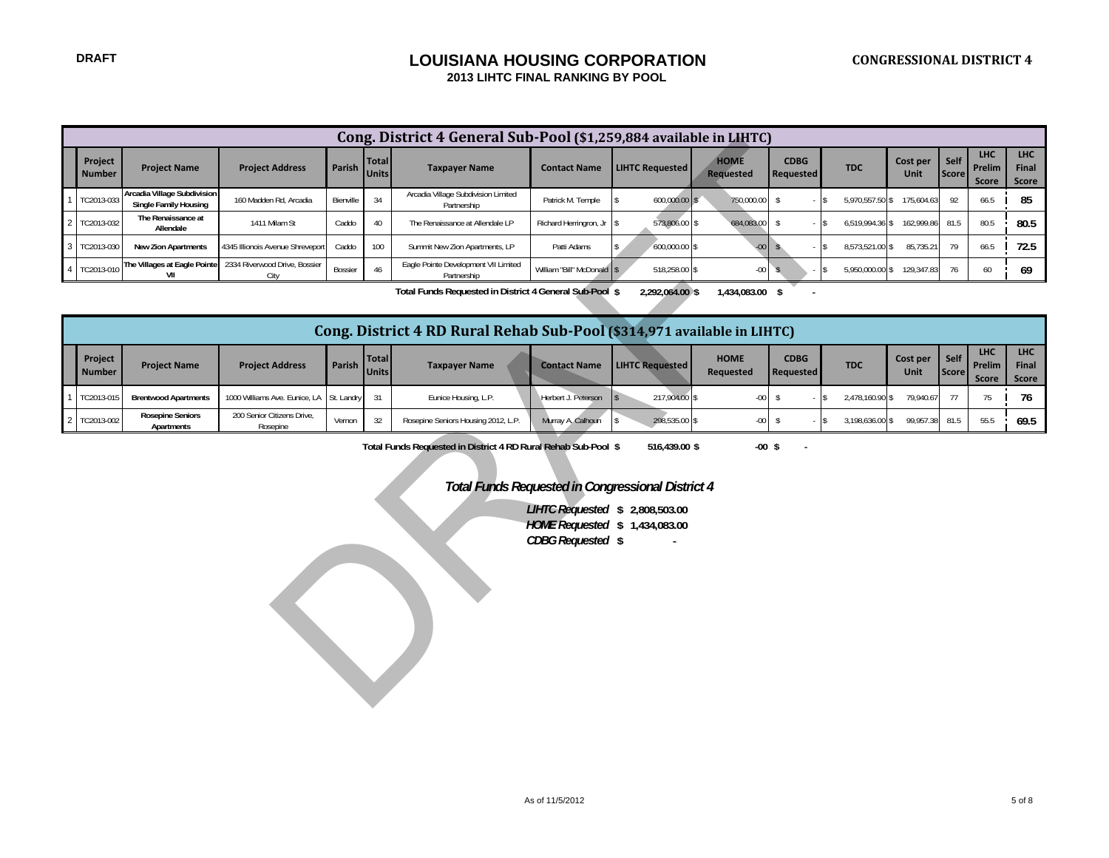## **LOUISIANA HOUSING CORPORATION 2013 LIHTC FINAL RANKING BY POOL**

|                |                                                                                                                                                                                                                                                                                                                                                                                                                                                                                                                                                                                                                                         |                                                      |                                       |           |                              | Cong. District 4 General Sub-Pool (\$1,259,884 available in LIHTC)      |                            |                        |                                 |                          |                 |                            |                      |                                      |                              |
|----------------|-----------------------------------------------------------------------------------------------------------------------------------------------------------------------------------------------------------------------------------------------------------------------------------------------------------------------------------------------------------------------------------------------------------------------------------------------------------------------------------------------------------------------------------------------------------------------------------------------------------------------------------------|------------------------------------------------------|---------------------------------------|-----------|------------------------------|-------------------------------------------------------------------------|----------------------------|------------------------|---------------------------------|--------------------------|-----------------|----------------------------|----------------------|--------------------------------------|------------------------------|
|                | Project<br><b>Number</b>                                                                                                                                                                                                                                                                                                                                                                                                                                                                                                                                                                                                                | <b>Project Name</b>                                  | <b>Project Address</b>                | Parish    | <b>Total</b><br><b>Units</b> | <b>Taxpayer Name</b>                                                    | <b>Contact Name</b>        | <b>LIHTC Requested</b> | <b>HOME</b><br><b>Requested</b> | <b>CDBG</b><br>Requested | <b>TDC</b>      | Cost per<br><b>Unit</b>    | Self<br><b>Score</b> | <b>LHC</b><br>Prelim<br><b>Score</b> | <b>LHC</b><br>Final<br>Score |
|                | TC2013-033                                                                                                                                                                                                                                                                                                                                                                                                                                                                                                                                                                                                                              | Arcadia Village Subdivision<br>Single Family Housing | 160 Madden Rd, Arcadia                | Bienville | 34                           | Arcadia Village Subdivision Limited<br>Partnership                      | Patrick M. Temple          | 600,000.00 \$          | 750,000.00                      | $\sqrt{2}$               | IS.             | 5,970,557.50 \$ 175,604.63 | 92                   | 66.5                                 | 85                           |
| $\overline{a}$ | TC2013-032                                                                                                                                                                                                                                                                                                                                                                                                                                                                                                                                                                                                                              | The Renaissance at<br>Allendale                      | 1411 Milam St                         | Caddo     | 40                           | The Renaissance at Allendale LP                                         | Richard Herringron, Jr     | 573,806.00 \$          | 684,083.00                      | $\sqrt[6]{2}$            | $\mathsf{S}$    | 6,519,994.36 \$ 162,999.86 | 81.5                 | 80.5                                 | 80.5                         |
| 3              | TC2013-030                                                                                                                                                                                                                                                                                                                                                                                                                                                                                                                                                                                                                              | <b>New Zion Apartments</b>                           | 4345 Illionois Avenue Shreveport      | Caddo     | 100                          | Summit New Zion Apartments, LP                                          | Patti Adams                | 600,000.00 \$          | $-00 -$                         | \$                       | 8,573,521.00 \$ | 85,735.21                  | 79                   | 66.5                                 | 72.5                         |
| $\overline{4}$ | TC2013-010                                                                                                                                                                                                                                                                                                                                                                                                                                                                                                                                                                                                                              | The Villages at Eagle Pointe<br>VII                  | 2334 Riverwood Drive, Bossier<br>City | Bossier   | 46                           | Eagle Pointe Development VII Limited<br>Partnership                     | William "Bill" McDonald \$ | 518,258.00 \$          | $-00$                           | $\mathsf{s}$             |                 | 5,950,000.00 \$ 129,347.83 | 76                   | 60                                   | 69                           |
|                |                                                                                                                                                                                                                                                                                                                                                                                                                                                                                                                                                                                                                                         |                                                      |                                       |           |                              | Total Funds Requested in District 4 General Sub-Pool \$                 |                            | 2,292,064.00 \$        | 1,434,083.00 \$                 |                          |                 |                            |                      |                                      |                              |
|                |                                                                                                                                                                                                                                                                                                                                                                                                                                                                                                                                                                                                                                         |                                                      |                                       |           |                              | Cong. District 4 RD Rural Rehab Sub-Pool (\$314,971 available in LIHTC) |                            |                        |                                 |                          |                 |                            |                      |                                      |                              |
|                | LHC<br><b>LHC</b><br><b>HOME</b><br>Project<br><b>CDBG</b><br>Cost per<br>Self<br><b>Total</b><br>Parish<br><b>Taxpayer Name</b><br><b>TDC</b><br>Prelim<br>Final<br><b>Project Name</b><br><b>Project Address</b><br><b>Contact Name</b><br><b>LIHTC Requested</b><br><b>Units</b><br><b>Number</b><br><b>Requested</b><br>Requested<br><b>Unit</b><br><b>Score</b><br><b>Score</b><br>Score<br>76<br>TC2013-015<br><b>Brentwood Apartments</b><br>1000 Williams Ave. Eunice, LA<br>31<br>Eunice Housing, L.P.<br>Herbert J. Peterson<br>217,904.00 \$<br>$-00$<br>\$<br>2,478,160.90 \$<br>79,940.67<br>77<br>75<br>St. Landry<br>1\$ |                                                      |                                       |           |                              |                                                                         |                            |                        |                                 |                          |                 |                            |                      |                                      |                              |
|                | <b>Rosepine Seniors</b><br>200 Senior Citizens Drive,                                                                                                                                                                                                                                                                                                                                                                                                                                                                                                                                                                                   |                                                      |                                       |           |                              |                                                                         |                            |                        |                                 |                          |                 |                            |                      |                                      |                              |
| $\overline{2}$ | 69.5<br>32<br>Rosepine Seniors Housing 2012, L.P.<br>298,535.00 \$<br>99,957.38<br>81.5<br>55.5<br>TC2013-002<br>Murray A. Calhoun<br>$-00$<br>$\sqrt[6]{2}$<br>3,198,636.00 \$<br>Vernon<br>Apartments<br>Rosepine                                                                                                                                                                                                                                                                                                                                                                                                                     |                                                      |                                       |           |                              |                                                                         |                            |                        |                                 |                          |                 |                            |                      |                                      |                              |
|                | Total Funds Requested in District 4 RD Rural Rehab Sub-Pool \$<br>516,439.00 \$<br>$-00$ \$<br><b>Total Funds Requested in Congressional District 4</b><br>LIHTC Requested \$ 2,808,503.00<br>HOME Requested \$ 1,434,083.00<br>CDBG Requested \$                                                                                                                                                                                                                                                                                                                                                                                       |                                                      |                                       |           |                              |                                                                         |                            |                        |                                 |                          |                 |                            |                      |                                      |                              |

|                          |                                       |                                          |          |                         | Cong. District 4 RD Rural Rehab Sub-Pool (\$314,971 available in LIHTC) |                     |                          |                          |                          |                 |                  |                               |                                        |                              |
|--------------------------|---------------------------------------|------------------------------------------|----------|-------------------------|-------------------------------------------------------------------------|---------------------|--------------------------|--------------------------|--------------------------|-----------------|------------------|-------------------------------|----------------------------------------|------------------------------|
| Project<br><b>Number</b> | <b>Project Name</b>                   | <b>Project Address</b>                   | Parish I | <b>Total</b><br>Unitsh. | <b>Taxpayer Name</b>                                                    | <b>Contact Name</b> | <b>LIHTC Requested I</b> | <b>HOME</b><br>Reauested | <b>CDBG</b><br>Requested | <b>TDC</b>      | Cost per<br>Unit | Self <b>I</b><br><b>Score</b> | <b>LHC</b><br>Prelim L<br><b>Score</b> | <b>LHC</b><br>Final<br>Score |
| TC2013-01F               | <b>Brentwood Apartments</b>           | 1000 Williams Ave. Eunice, LA St. Landry |          |                         | Eunice Housing, L.P.                                                    | Herbert J. Peterson | 217.904.00 \$            | $-00$                    |                          | 2.478.160.90 \$ | 79.940.67        |                               |                                        |                              |
| 2 TC2013-002             | <b>Rosepine Seniors</b><br>Apartments | 200 Senior Citizens Drive.<br>Rosepine   | Vernon   | 32                      | Rosepine Seniors Housing 2012, L.P.                                     | Murray A. Calhoun   | 298.535.00 \$            | $-00$                    |                          | 3.198.636.00 \$ | 99.957.38 81.5   |                               | 55.5                                   | 69.5                         |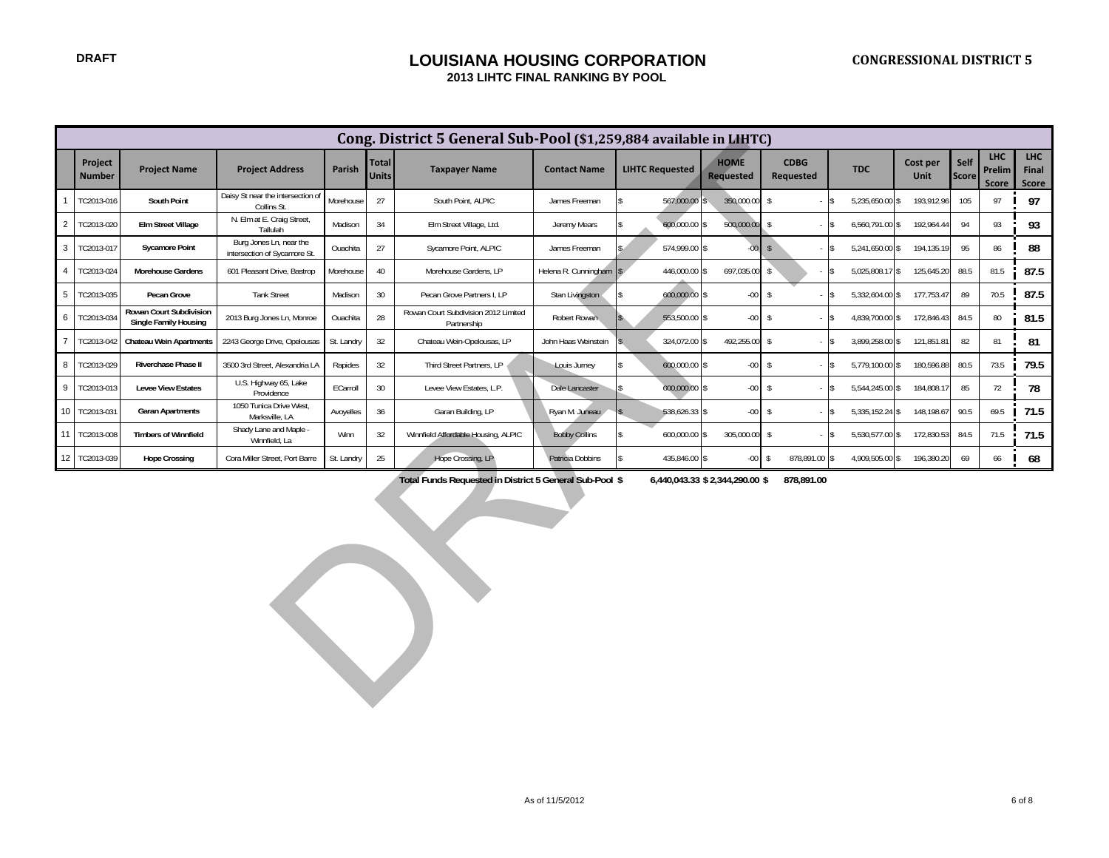#### **DRAFT LOUISIANA HOUSING CORPORATION 2013 LIHTC FINAL RANKING BY POOL**

|                |                                                                                                                                                                          |                                                         |                                                         |            |                       | Cong. District 5 General Sub-Pool (\$1,259,884 available in LIHTC) |                      |                        |                                 |                                 |                               |                  |                      |                                      |                              |
|----------------|--------------------------------------------------------------------------------------------------------------------------------------------------------------------------|---------------------------------------------------------|---------------------------------------------------------|------------|-----------------------|--------------------------------------------------------------------|----------------------|------------------------|---------------------------------|---------------------------------|-------------------------------|------------------|----------------------|--------------------------------------|------------------------------|
|                | Project<br><b>Number</b>                                                                                                                                                 | <b>Project Name</b>                                     | <b>Project Address</b>                                  | Parish     | Total<br><b>Units</b> | <b>Taxpayer Name</b>                                               | <b>Contact Name</b>  | <b>LIHTC Requested</b> | <b>HOME</b><br><b>Requested</b> | <b>CDBG</b><br><b>Requested</b> | <b>TDC</b>                    | Cost per<br>Unit | Self<br><b>Score</b> | <b>LHC</b><br>Prelim<br><b>Score</b> | <b>LHC</b><br>Final<br>Score |
|                | TC2013-016                                                                                                                                                               | South Point                                             | Daisy St near the intersection of<br>Collins St.        | Morehouse  | 27                    | South Point, ALPIC                                                 | James Freeman        | 567,000.00             | 350,000.00 \$                   |                                 | 5,235,650.00 \$<br>l\$        | 193,912.96       | 105                  | 97                                   | 97                           |
| $\overline{c}$ | TC2013-020                                                                                                                                                               | <b>Elm Street Village</b>                               | N. Elm at E. Craig Street,<br>Tallulah                  | Madison    | 34                    | Elm Street Village, Ltd.                                           | Jeremy Mears         | 600,000.00 \$          | 500,000.00 \$                   |                                 | 6,560,791.00 \$<br>l\$        | 192,964.44       | 94                   | 93                                   | 93                           |
| 3              | TC2013-017                                                                                                                                                               | <b>Sycamore Point</b>                                   | Burg Jones Ln, near the<br>intersection of Sycamore St. | Ouachita   | 27                    | Sycamore Point, ALPIC                                              | James Freeman        | 574,999.00 \$          |                                 | $00 \mid s$                     | 5,241,650.00 \$<br>l\$        | 194,135.19       | 95                   | 86                                   | 88                           |
| $\overline{4}$ | TC2013-024                                                                                                                                                               | Morehouse Gardens                                       | 601 Pleasant Drive, Bastrop                             | Morehouse  | 40                    | Morehouse Gardens, LP                                              | Helena R. Cunningham | 446,000.00 \$          | 697,035.00                      | $\mathsf{\$}$                   | 5,025,808.17 \$<br>l\$        | 125,645.20       | 88.5                 | 81.5                                 | 87.5                         |
| 5              | TC2013-035                                                                                                                                                               | Pecan Grove                                             | <b>Tank Street</b>                                      | Madison    | 30                    | Pecan Grove Partners I, LP                                         | Stan Livingston      | 600,000.00 \$          | $-00$ \$                        |                                 | 5,332,604.00 \$<br>l\$        | 177,753.47       | 89                   | 70.5                                 | 87.5                         |
| 6              | TC2013-03                                                                                                                                                                | Rowan Court Subdivision<br><b>Single Family Housing</b> | 2013 Burg Jones Ln, Monroe                              | Ouachita   | 28                    | Rowan Court Subdivision 2012 Limited<br>Partnership                | Robert Rowan         | 553,500.00 \$          | $-00$ \$                        |                                 | 4,839,700.00 \$<br>$\sqrt{3}$ | 172,846.43       | 84.5                 | 80                                   | 81.5                         |
| $\overline{7}$ | TC2013-042                                                                                                                                                               | <b>Chateau Wein Apartments</b>                          | 2243 George Drive, Opelousas                            | St. Landry | 32                    | Chateau Wein-Opelousas, LP                                         | John Haas Weinstein  | 324,072.00 \$          | 492,255.00 \$                   |                                 | 3,899,258.00 \$<br>$\sqrt{3}$ | 121,851.81       | 82                   | 81                                   | 81                           |
| 8              | TC2013-029                                                                                                                                                               | Riverchase Phase II                                     | 3500 3rd Street, Alexandria LA                          | Rapides    | 32                    | Third Street Partners, LP                                          | Louis Jurney         | 600,000.00 \$          | $-00$ \$                        | $-5$                            | 5,779,100.00 \$               | 180,596.88       | 80.5                 | 73.5                                 | 79.5                         |
| 9              | TC2013-013                                                                                                                                                               | <b>Levee View Estates</b>                               | U.S. Highway 65, Lake<br>Providence                     | ECarroll   | 30                    | Levee View Estates, L.P.                                           | Dale Lancaster       | 600,000.00 \$          | $-00$ \$                        |                                 | 5,544,245.00 \$<br>$\sqrt{3}$ | 184,808.1        | 85                   | 72                                   | 78                           |
| 10             | TC2013-031                                                                                                                                                               | <b>Garan Apartments</b>                                 | 1050 Tunica Drive West,<br>Marksville, LA               | Avoyelles  | 36                    | Garan Building, LP                                                 | Ryan M. Juneau       | 538,626.33 \$          | $-00$ \$                        |                                 | 5,335,152.24 \$<br>$\sqrt{3}$ | 148,198.67       | 90.5                 | 69.5                                 | 71.5                         |
| 11             | TC2013-008                                                                                                                                                               | <b>Timbers of Winnfield</b>                             | Shady Lane and Maple -<br>Winnfield, La                 | Winn       | 32                    | Winnfield Affordable Housing, ALPIC                                | <b>Bobby Collins</b> | 600,000.00 \$          | 305,000.00 \$                   | $-$ \$                          | 5,530,577.00 \$               | 172,830.53       | 84.5                 | 71.5                                 | 71.5                         |
| 12             | TC2013-039                                                                                                                                                               | <b>Hope Crossing</b>                                    | Cora Miller Street, Port Barre                          | St. Landry | 25                    | Hope Crossing, LP                                                  | Patricia Dobbins     |                        |                                 | \$                              |                               | 196,380.20       | 69                   | 66                                   | 68                           |
|                | 878,891.00 \$<br>4,909,505.00 \$<br>435,846.00 \$<br>$-00 -$<br>Total Funds Requested in District 5 General Sub-Pool \$<br>6,440,043.33 \$ 2,344,290.00 \$<br>878,891.00 |                                                         |                                                         |            |                       |                                                                    |                      |                        |                                 |                                 |                               |                  |                      |                                      |                              |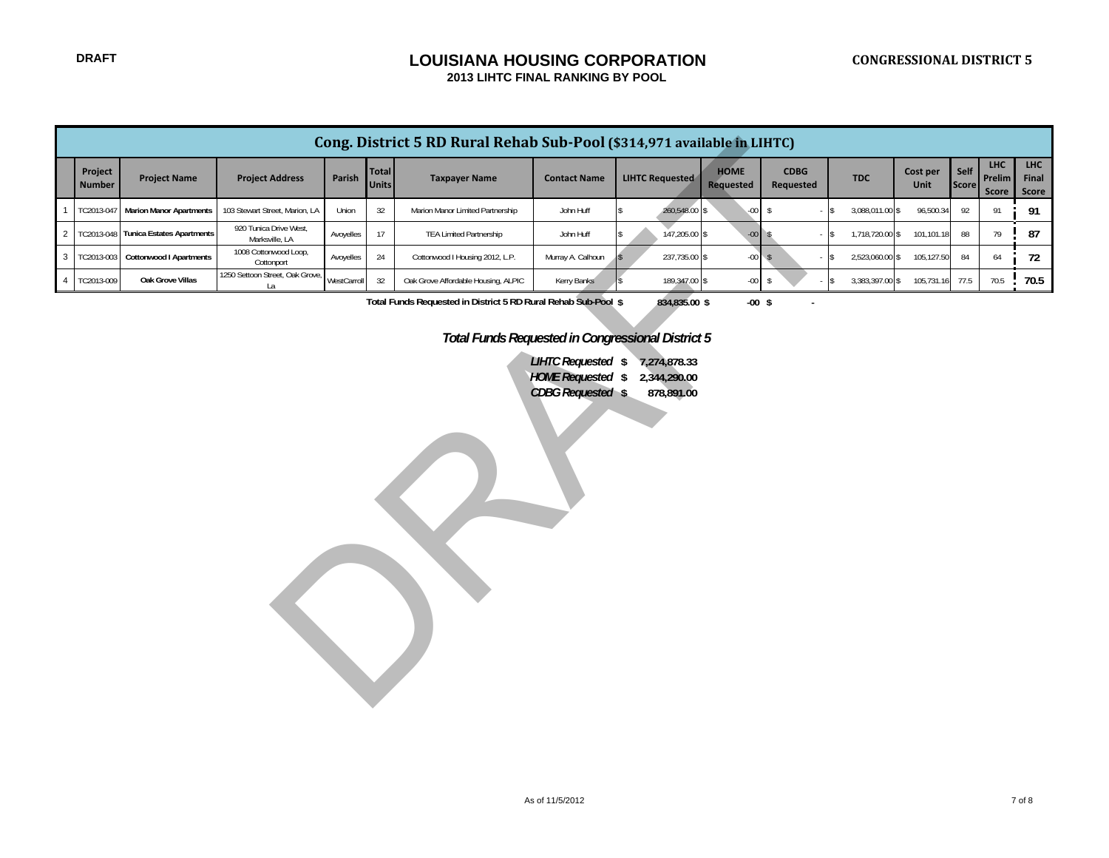|                                                                                             | Cong. District 5 RD Rural Rehab Sub-Pool (\$314,971 available in LIHTC)        |                                  |                                          |             |                              |                                     |                     |                                     |                          |                          |                           |                  |               |                               |                              |
|---------------------------------------------------------------------------------------------|--------------------------------------------------------------------------------|----------------------------------|------------------------------------------|-------------|------------------------------|-------------------------------------|---------------------|-------------------------------------|--------------------------|--------------------------|---------------------------|------------------|---------------|-------------------------------|------------------------------|
|                                                                                             | Project<br><b>Number</b>                                                       | <b>Project Name</b>              | <b>Project Address</b>                   | Parish      | <b>Total</b><br><b>Units</b> | <b>Taxpayer Name</b>                | <b>Contact Name</b> | <b>LIHTC Requested</b>              | <b>HOME</b><br>Requested | <b>CDBG</b><br>Requested | <b>TDC</b>                | Cost per<br>Unit | Self<br>Score | <b>LHC</b><br>Prelim<br>Score | <b>LHC</b><br>Final<br>Score |
| $\overline{1}$                                                                              | TC2013-041                                                                     | <b>Marion Manor Apartments</b>   | 103 Stewart Street, Marion, LA           | Union       | $32\,$                       | Marion Manor Limited Partnership    | John Huff           | 260,548.00 \$<br>$\hat{\mathbf{x}}$ | $-00$                    | $$\mathbb{S}$$           | 3,088,011.00 \$<br>$-$ \$ | 96,500.34        | 92            | 91                            | 91                           |
|                                                                                             | 2 TC2013-048                                                                   | <b>Tunica Estates Apartments</b> | 920 Tunica Drive West,<br>Marksville, LA | Avoyelles   | 17                           | <b>TEA Limited Partnership</b>      | John Huff           | 147,205.00 \$                       | $-00$ \$                 |                          | 1,718,720.00 \$<br>$-$ \$ | 101,101.18       | 88            | 79                            | 87                           |
| 3 <sup>1</sup>                                                                              | TC2013-003                                                                     | <b>Cottonwood I Apartments</b>   | 1008 Cottonwood Loop,<br>Cottonport      | Avoyelles   | 24                           | Cottonwood I Housing 2012, L.P.     | Murray A. Calhoun   | 237,735.00 \$                       | $-00$                    | $\sqrt{2}$               | 2,523,060.00 \$<br>$-$ \$ | 105,127.50       | 84            | 64                            | 72                           |
|                                                                                             | 4 TC2013-009                                                                   | Oak Grove Villas                 | 1250 Settoon Street, Oak Grove,<br>La    | WestCarroll | 32                           | Oak Grove Affordable Housing, ALPIC | Kerry Banks         | 189,347.00 \$                       | $-00$                    | $\sqrt[6]{3}$            | 3,383,397.00 \$<br>$-$ \$ | 105,731.16       | 77.5          | 70.5                          | 70.5                         |
| Total Funds Requested in District 5 RD Rural Rehab Sub-Pool \$<br>834,835.00 \$<br>$-00$ \$ |                                                                                |                                  |                                          |             |                              |                                     |                     |                                     |                          |                          |                           |                  |               |                               |                              |
|                                                                                             |                                                                                |                                  |                                          |             |                              |                                     |                     |                                     |                          |                          |                           |                  |               |                               |                              |
|                                                                                             | <b>Total Funds Requested in Congressional District 5</b>                       |                                  |                                          |             |                              |                                     |                     |                                     |                          |                          |                           |                  |               |                               |                              |
|                                                                                             | <b>LIHTC Requested \$</b><br>7,274,878.33<br>HOME Requested \$<br>2,344,290.00 |                                  |                                          |             |                              |                                     |                     |                                     |                          |                          |                           |                  |               |                               |                              |
|                                                                                             | <b>CDBG</b> Requested \$<br>878,891.00                                         |                                  |                                          |             |                              |                                     |                     |                                     |                          |                          |                           |                  |               |                               |                              |
|                                                                                             |                                                                                |                                  |                                          |             |                              |                                     |                     |                                     |                          |                          |                           |                  |               |                               |                              |
|                                                                                             |                                                                                |                                  |                                          |             |                              |                                     |                     |                                     |                          |                          |                           |                  |               |                               |                              |
|                                                                                             |                                                                                |                                  |                                          |             |                              |                                     |                     |                                     |                          |                          |                           |                  |               |                               |                              |
|                                                                                             |                                                                                |                                  |                                          |             |                              |                                     |                     |                                     |                          |                          |                           |                  |               |                               |                              |
|                                                                                             |                                                                                |                                  |                                          |             |                              |                                     |                     |                                     |                          |                          |                           |                  |               |                               |                              |
|                                                                                             |                                                                                |                                  |                                          |             |                              |                                     |                     |                                     |                          |                          |                           |                  |               |                               |                              |
|                                                                                             |                                                                                |                                  |                                          |             |                              |                                     |                     |                                     |                          |                          |                           |                  |               |                               |                              |
|                                                                                             |                                                                                |                                  |                                          |             |                              |                                     |                     |                                     |                          |                          |                           |                  |               |                               |                              |
|                                                                                             |                                                                                |                                  |                                          |             |                              |                                     |                     |                                     |                          |                          |                           |                  |               |                               |                              |
|                                                                                             |                                                                                |                                  |                                          |             |                              |                                     |                     |                                     |                          |                          |                           |                  |               |                               |                              |
|                                                                                             |                                                                                |                                  |                                          |             |                              |                                     |                     |                                     |                          |                          |                           |                  |               |                               |                              |
|                                                                                             |                                                                                |                                  |                                          |             |                              |                                     |                     |                                     |                          |                          |                           |                  |               |                               |                              |
|                                                                                             |                                                                                |                                  |                                          |             |                              |                                     |                     |                                     |                          |                          |                           |                  |               |                               |                              |
|                                                                                             |                                                                                |                                  |                                          |             |                              |                                     |                     |                                     |                          |                          |                           |                  |               |                               |                              |